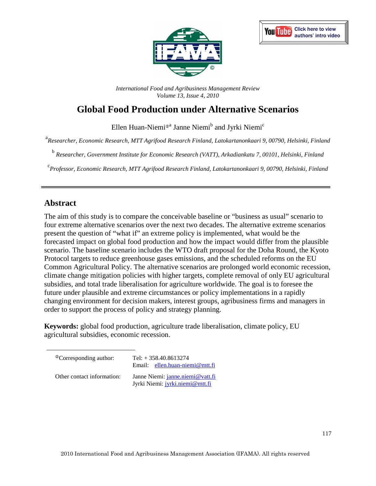



*International Food and Agribusiness Management Review Volume 13, Issue 4, 2010*

# **Global Food Production under Alternative Scenarios**

Ellen Huan-Niemi®<sup>a</sup> Janne Niemi<sup>b</sup> and Jyrki Niemi<sup>c</sup>

a *Researcher, Economic Research, MTT Agrifood Research Finland, Latokartanonkaari 9, 00790, Helsinki, Finland* 

b *Researcher, Government Institute for Economic Research (VATT), Arkadiankatu 7, 00101, Helsinki, Finland* 

c *Professor, Economic Research, MTT Agrifood Research Finland, Latokartanonkaari 9, 00790, Helsinki, Finland* 

## **Abstract**

The aim of this study is to compare the conceivable baseline or "business as usual" scenario to four extreme alternative scenarios over the next two decades. The alternative extreme scenarios present the question of "what if" an extreme policy is implemented, what would be the forecasted impact on global food production and how the impact would differ from the plausible scenario. The baseline scenario includes the WTO draft proposal for the Doha Round, the Kyoto Protocol targets to reduce greenhouse gases emissions, and the scheduled reforms on the EU Common Agricultural Policy. The alternative scenarios are prolonged world economic recession, climate change mitigation policies with higher targets, complete removal of only EU agricultural subsidies, and total trade liberalisation for agriculture worldwide. The goal is to foresee the future under plausible and extreme circumstances or policy implementations in a rapidly changing environment for decision makers, interest groups, agribusiness firms and managers in order to support the process of policy and strategy planning.

**Keywords:** global food production, agriculture trade liberalisation, climate policy, EU agricultural subsidies, economic recession.

| <sup>Th</sup> Corresponding author: | Tel: $+358.40.8613274$<br>Email: ellen.huan-niemi@mtt.fi            |
|-------------------------------------|---------------------------------------------------------------------|
| Other contact information:          | Janne Niemi: janne.niemi@vatt.fi<br>Jyrki Niemi: jyrki.niemi@mtt.fi |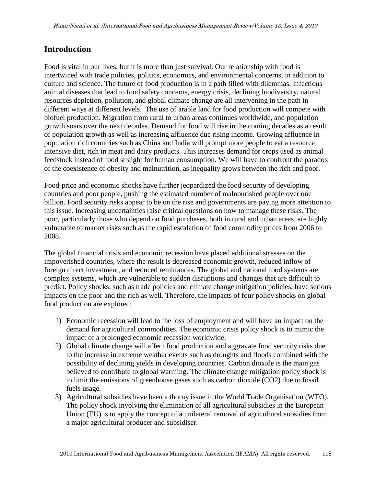## **Introduction**

Food is vital in our lives, but it is more than just survival. Our relationship with food is intertwined with trade policies, politics, economics, and environmental concerns, in addition to culture and science. The future of food production is in a path filled with dilemmas. Infectious animal diseases that lead to food safety concerns, energy crisis, declining biodiversity, natural resources depletion, pollution, and global climate change are all intervening in the path in different ways at different levels. The use of arable land for food production will compete with biofuel production. Migration from rural to urban areas continues worldwide, and population growth soars over the next decades. Demand for food will rise in the coming decades as a result of population growth as well as increasing affluence due rising income. Growing affluence in population rich countries such as China and India will prompt more people to eat a resource intensive diet, rich in meat and dairy products. This increases demand for crops used as animal feedstock instead of food straight for human consumption. We will have to confront the paradox of the coexistence of obesity and malnutrition, as inequality grows between the rich and poor.

Food-price and economic shocks have further jeopardized the food security of developing countries and poor people, pushing the estimated number of malnourished people over one billion. Food security risks appear to be on the rise and governments are paying more attention to this issue. Increasing uncertainties raise critical questions on how to manage these risks. The poor, particularly those who depend on food purchases, both in rural and urban areas, are highly vulnerable to market risks such as the rapid escalation of food commodity prices from 2006 to 2008.

The global financial crisis and economic recession have placed additional stresses on the impoverished countries, where the result is decreased economic growth, reduced inflow of foreign direct investment, and reduced remittances. The global and national food systems are complex systems, which are vulnerable to sudden disruptions and changes that are difficult to predict. Policy shocks, such as trade policies and climate change mitigation policies, have serious impacts on the poor and the rich as well. Therefore, the impacts of four policy shocks on global food production are explored:

- 1) Economic recession will lead to the loss of employment and will have an impact on the demand for agricultural commodities. The economic crisis policy shock is to mimic the impact of a prolonged economic recession worldwide.
- 2) Global climate change will affect food production and aggravate food security risks due to the increase in extreme weather events such as droughts and floods combined with the possibility of declining yields in developing countries. Carbon dioxide is the main gas believed to contribute to global warming. The climate change mitigation policy shock is to limit the emissions of greenhouse gases such as carbon dioxide (CO2) due to fossil fuels usage.
- 3) Agricultural subsidies have been a thorny issue in the World Trade Organisation (WTO). The policy shock involving the elimination of all agricultural subsidies in the European Union (EU) is to apply the concept of a unilateral removal of agricultural subsidies from a major agricultural producer and subsidiser.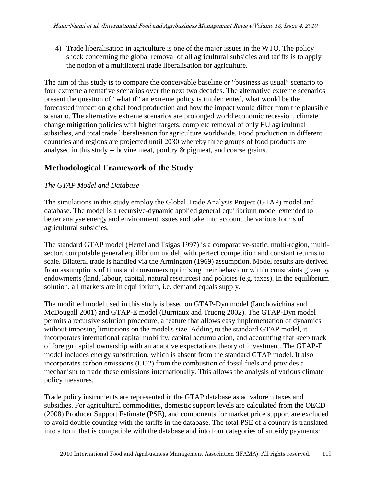4) Trade liberalisation in agriculture is one of the major issues in the WTO. The policy shock concerning the global removal of all agricultural subsidies and tariffs is to apply the notion of a multilateral trade liberalisation for agriculture.

The aim of this study is to compare the conceivable baseline or "business as usual" scenario to four extreme alternative scenarios over the next two decades. The alternative extreme scenarios present the question of "what if" an extreme policy is implemented, what would be the forecasted impact on global food production and how the impact would differ from the plausible scenario. The alternative extreme scenarios are prolonged world economic recession, climate change mitigation policies with higher targets, complete removal of only EU agricultural subsidies, and total trade liberalisation for agriculture worldwide. Food production in different countries and regions are projected until 2030 whereby three groups of food products are analysed in this study -- bovine meat, poultry & pigmeat, and coarse grains.

# **Methodological Framework of the Study**

### *The GTAP Model and Database*

The simulations in this study employ the Global Trade Analysis Project (GTAP) model and database. The model is a recursive-dynamic applied general equilibrium model extended to better analyse energy and environment issues and take into account the various forms of agricultural subsidies.

The standard GTAP model (Hertel and Tsigas 1997) is a comparative-static, multi-region, multisector, computable general equilibrium model, with perfect competition and constant returns to scale. Bilateral trade is handled via the Armington (1969) assumption. Model results are derived from assumptions of firms and consumers optimising their behaviour within constraints given by endowments (land, labour, capital, natural resources) and policies (e.g. taxes). In the equilibrium solution, all markets are in equilibrium, i.e. demand equals supply.

The modified model used in this study is based on GTAP-Dyn model (Ianchovichina and McDougall 2001) and GTAP-E model (Burniaux and Truong 2002). The GTAP-Dyn model permits a recursive solution procedure, a feature that allows easy implementation of dynamics without imposing limitations on the model's size. Adding to the standard GTAP model, it incorporates international capital mobility, capital accumulation, and accounting that keep track of foreign capital ownership with an adaptive expectations theory of investment. The GTAP-E model includes energy substitution, which is absent from the standard GTAP model. It also incorporates carbon emissions (CO2) from the combustion of fossil fuels and provides a mechanism to trade these emissions internationally. This allows the analysis of various climate policy measures.

Trade policy instruments are represented in the GTAP database as ad valorem taxes and subsidies. For agricultural commodities, domestic support levels are calculated from the OECD (2008) Producer Support Estimate (PSE), and components for market price support are excluded to avoid double counting with the tariffs in the database. The total PSE of a country is translated into a form that is compatible with the database and into four categories of subsidy payments: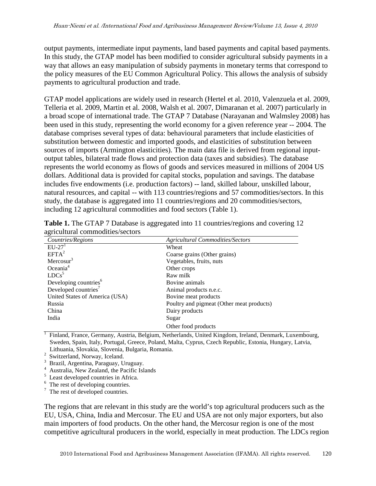output payments, intermediate input payments, land based payments and capital based payments. In this study, the GTAP model has been modified to consider agricultural subsidy payments in a way that allows an easy manipulation of subsidy payments in monetary terms that correspond to the policy measures of the EU Common Agricultural Policy. This allows the analysis of subsidy payments to agricultural production and trade.

GTAP model applications are widely used in research (Hertel et al. 2010, Valenzuela et al. 2009, Telleria et al. 2009, Martin et al. 2008, Walsh et al. 2007, Dimaranan et al. 2007) particularly in a broad scope of international trade. The GTAP 7 Database (Narayanan and Walmsley 2008) has been used in this study, representing the world economy for a given reference year -- 2004. The database comprises several types of data: behavioural parameters that include elasticities of substitution between domestic and imported goods, and elasticities of substitution between sources of imports (Armington elasticities). The main data file is derived from regional inputoutput tables, bilateral trade flows and protection data (taxes and subsidies). The database represents the world economy as flows of goods and services measured in millions of 2004 US dollars. Additional data is provided for capital stocks, population and savings. The database includes five endowments (i.e. production factors) -- land, skilled labour, unskilled labour, natural resources, and capital -- with 113 countries/regions and 57 commodities/sectors. In this study, the database is aggregated into 11 countries/regions and 20 commodities/sectors, including 12 agricultural commodities and food sectors (Table 1).

| Countries/Regions                 | <b>Agricultural Commodities/Sectors</b>   |
|-----------------------------------|-------------------------------------------|
| $EU-27$ <sup>1</sup>              | Wheat                                     |
| $EFTA^2$                          | Coarse grains (Other grains)              |
| Mercosur $3$                      | Vegetables, fruits, nuts                  |
| Oceania <sup>4</sup>              | Other crops                               |
| LDCs <sup>5</sup>                 | Raw milk                                  |
| Developing countries <sup>6</sup> | Bovine animals                            |
| Developed countries <sup>7</sup>  | Animal products n.e.c.                    |
| United States of America (USA)    | Bovine meat products                      |
| Russia                            | Poultry and pigmeat (Other meat products) |
| China                             | Dairy products                            |
| India                             | Sugar                                     |
|                                   | Other food products                       |

**Table 1.** The GTAP 7 Database is aggregated into 11 countries/regions and covering 12 agricultural commodities/sectors

<sup>1</sup> Finland, France, Germany, Austria, Belgium, Netherlands, United Kingdom, Ireland, Denmark, Luxembourg, Sweden, Spain, Italy, Portugal, Greece, Poland, Malta, Cyprus, Czech Republic, Estonia, Hungary, Latvia, Lithuania, Slovakia, Slovenia, Bulgaria, Romania.

 $2$  Switzerland, Norway, Iceland.

<sup>3</sup> Brazil, Argentina, Paraguay, Uruguay.

<sup>4</sup> Australia, New Zealand, the Pacific Islands

 $<sup>5</sup>$  Least developed countries in Africa.</sup>

 $6$  The rest of developing countries.

<sup>7</sup> The rest of developed countries.

The regions that are relevant in this study are the world's top agricultural producers such as the EU, USA, China, India and Mercosur. The EU and USA are not only major exporters, but also main importers of food products. On the other hand, the Mercosur region is one of the most competitive agricultural producers in the world, especially in meat production. The LDCs region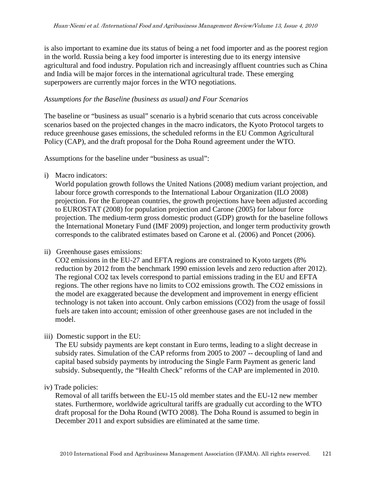is also important to examine due its status of being a net food importer and as the poorest region in the world. Russia being a key food importer is interesting due to its energy intensive agricultural and food industry. Population rich and increasingly affluent countries such as China and India will be major forces in the international agricultural trade. These emerging superpowers are currently major forces in the WTO negotiations.

#### *Assumptions for the Baseline (business as usual) and Four Scenarios*

The baseline or "business as usual" scenario is a hybrid scenario that cuts across conceivable scenarios based on the projected changes in the macro indicators, the Kyoto Protocol targets to reduce greenhouse gases emissions, the scheduled reforms in the EU Common Agricultural Policy (CAP), and the draft proposal for the Doha Round agreement under the WTO.

Assumptions for the baseline under "business as usual":

i) Macro indicators:

World population growth follows the United Nations (2008) medium variant projection, and labour force growth corresponds to the International Labour Organization (ILO 2008) projection. For the European countries, the growth projections have been adjusted according to EUROSTAT (2008) for population projection and Carone (2005) for labour force projection. The medium-term gross domestic product (GDP) growth for the baseline follows the International Monetary Fund (IMF 2009) projection, and longer term productivity growth corresponds to the calibrated estimates based on Carone et al. (2006) and Poncet (2006).

#### ii) Greenhouse gases emissions:

CO2 emissions in the EU-27 and EFTA regions are constrained to Kyoto targets (8% reduction by 2012 from the benchmark 1990 emission levels and zero reduction after 2012). The regional CO2 tax levels correspond to partial emissions trading in the EU and EFTA regions. The other regions have no limits to CO2 emissions growth. The CO2 emissions in the model are exaggerated because the development and improvement in energy efficient technology is not taken into account. Only carbon emissions (CO2) from the usage of fossil fuels are taken into account; emission of other greenhouse gases are not included in the model.

iii) Domestic support in the EU:

The EU subsidy payments are kept constant in Euro terms, leading to a slight decrease in subsidy rates. Simulation of the CAP reforms from 2005 to 2007 -- decoupling of land and capital based subsidy payments by introducing the Single Farm Payment as generic land subsidy. Subsequently, the "Health Check" reforms of the CAP are implemented in 2010.

iv) Trade policies:

Removal of all tariffs between the EU-15 old member states and the EU-12 new member states. Furthermore, worldwide agricultural tariffs are gradually cut according to the WTO draft proposal for the Doha Round (WTO 2008). The Doha Round is assumed to begin in December 2011 and export subsidies are eliminated at the same time.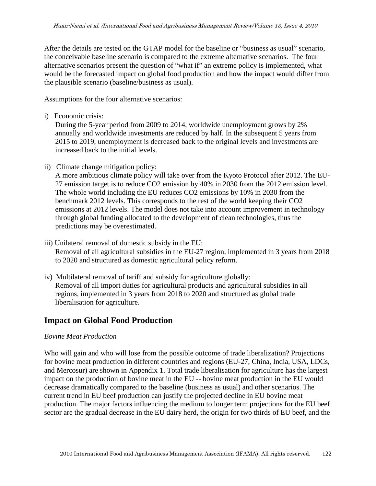After the details are tested on the GTAP model for the baseline or "business as usual" scenario, the conceivable baseline scenario is compared to the extreme alternative scenarios. The four alternative scenarios present the question of "what if" an extreme policy is implemented, what would be the forecasted impact on global food production and how the impact would differ from the plausible scenario (baseline/business as usual).

Assumptions for the four alternative scenarios:

i) Economic crisis:

During the 5-year period from 2009 to 2014, worldwide unemployment grows by 2% annually and worldwide investments are reduced by half. In the subsequent 5 years from 2015 to 2019, unemployment is decreased back to the original levels and investments are increased back to the initial levels.

ii) Climate change mitigation policy:

A more ambitious climate policy will take over from the Kyoto Protocol after 2012. The EU-27 emission target is to reduce CO2 emission by 40% in 2030 from the 2012 emission level. The whole world including the EU reduces CO2 emissions by 10% in 2030 from the benchmark 2012 levels. This corresponds to the rest of the world keeping their CO2 emissions at 2012 levels. The model does not take into account improvement in technology through global funding allocated to the development of clean technologies, thus the predictions may be overestimated.

- iii) Unilateral removal of domestic subsidy in the EU: Removal of all agricultural subsidies in the EU-27 region, implemented in 3 years from 2018 to 2020 and structured as domestic agricultural policy reform.
- iv) Multilateral removal of tariff and subsidy for agriculture globally: Removal of all import duties for agricultural products and agricultural subsidies in all regions, implemented in 3 years from 2018 to 2020 and structured as global trade liberalisation for agriculture.

## **Impact on Global Food Production**

#### *Bovine Meat Production*

Who will gain and who will lose from the possible outcome of trade liberalization? Projections for bovine meat production in different countries and regions (EU-27, China, India, USA, LDCs, and Mercosur) are shown in Appendix 1. Total trade liberalisation for agriculture has the largest impact on the production of bovine meat in the EU -- bovine meat production in the EU would decrease dramatically compared to the baseline (business as usual) and other scenarios. The current trend in EU beef production can justify the projected decline in EU bovine meat production. The major factors influencing the medium to longer term projections for the EU beef sector are the gradual decrease in the EU dairy herd, the origin for two thirds of EU beef, and the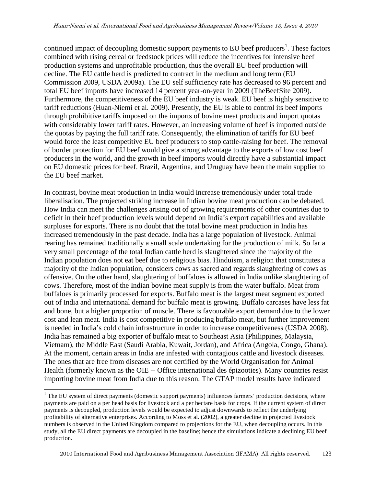continued impact of decoupling domestic support payments to EU beef producers<sup>1</sup>. These factors combined with rising cereal or feedstock prices will reduce the incentives for intensive beef production systems and unprofitable production, thus the overall EU beef production will decline. The EU cattle herd is predicted to contract in the medium and long term (EU Commission 2009, USDA 2009a). The EU self sufficiency rate has decreased to 96 percent and total EU beef imports have increased 14 percent year-on-year in 2009 (TheBeefSite 2009). Furthermore, the competitiveness of the EU beef industry is weak. EU beef is highly sensitive to tariff reductions (Huan-Niemi et al. 2009). Presently, the EU is able to control its beef imports through prohibitive tariffs imposed on the imports of bovine meat products and import quotas with considerably lower tariff rates. However, an increasing volume of beef is imported outside the quotas by paying the full tariff rate. Consequently, the elimination of tariffs for EU beef would force the least competitive EU beef producers to stop cattle-raising for beef. The removal of border protection for EU beef would give a strong advantage to the exports of low cost beef producers in the world, and the growth in beef imports would directly have a substantial impact on EU domestic prices for beef. Brazil, Argentina, and Uruguay have been the main supplier to the EU beef market.

In contrast, bovine meat production in India would increase tremendously under total trade liberalisation. The projected striking increase in Indian bovine meat production can be debated. How India can meet the challenges arising out of growing requirements of other countries due to deficit in their beef production levels would depend on India's export capabilities and available surpluses for exports. There is no doubt that the total bovine meat production in India has increased tremendously in the past decade. India has a large population of livestock. Animal rearing has remained traditionally a small scale undertaking for the production of milk. So far a very small percentage of the total Indian cattle herd is slaughtered since the majority of the Indian population does not eat beef due to religious bias. Hinduism, a religion that constitutes a majority of the Indian population, considers cows as sacred and regards slaughtering of cows as offensive. On the other hand, slaughtering of buffaloes is allowed in India unlike slaughtering of cows. Therefore, most of the Indian bovine meat supply is from the water buffalo. Meat from buffaloes is primarily processed for exports. Buffalo meat is the largest meat segment exported out of India and international demand for buffalo meat is growing. Buffalo carcases have less fat and bone, but a higher proportion of muscle. There is favourable export demand due to the lower cost and lean meat. India is cost competitive in producing buffalo meat, but further improvement is needed in India's cold chain infrastructure in order to increase competitiveness (USDA 2008). India has remained a big exporter of buffalo meat to Southeast Asia (Philippines, Malaysia, Vietnam), the Middle East (Saudi Arabia, Kuwait, Jordan), and Africa (Angola, Congo, Ghana). At the moment, certain areas in India are infested with contagious cattle and livestock diseases. The ones that are free from diseases are not certified by the World Organisation for Animal Health (formerly known as the OIE -- Office international des épizooties). Many countries resist importing bovine meat from India due to this reason. The GTAP model results have indicated

-

<sup>&</sup>lt;sup>1</sup> The EU system of direct payments (domestic support payments) influences farmers' production decisions, where payments are paid on a per head basis for livestock and a per hectare basis for crops. If the current system of direct payments is decoupled, production levels would be expected to adjust downwards to reflect the underlying profitability of alternative enterprises. According to Moss et al. (2002), a greater decline in projected livestock numbers is observed in the United Kingdom compared to projections for the EU, when decoupling occurs. In this study, all the EU direct payments are decoupled in the baseline; hence the simulations indicate a declining EU beef production.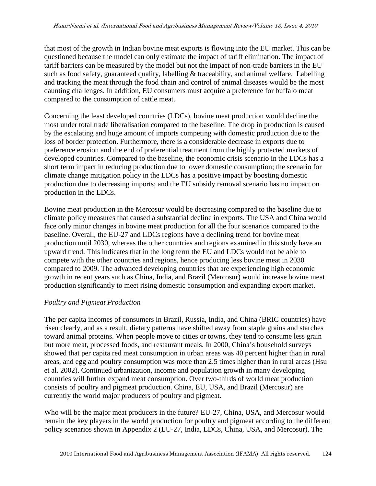that most of the growth in Indian bovine meat exports is flowing into the EU market. This can be questioned because the model can only estimate the impact of tariff elimination. The impact of tariff barriers can be measured by the model but not the impact of non-trade barriers in the EU such as food safety, guaranteed quality, labelling & traceability, and animal welfare. Labelling and tracking the meat through the food chain and control of animal diseases would be the most daunting challenges. In addition, EU consumers must acquire a preference for buffalo meat compared to the consumption of cattle meat.

Concerning the least developed countries (LDCs), bovine meat production would decline the most under total trade liberalisation compared to the baseline. The drop in production is caused by the escalating and huge amount of imports competing with domestic production due to the loss of border protection. Furthermore, there is a considerable decrease in exports due to preference erosion and the end of preferential treatment from the highly protected markets of developed countries. Compared to the baseline, the economic crisis scenario in the LDCs has a short term impact in reducing production due to lower domestic consumption; the scenario for climate change mitigation policy in the LDCs has a positive impact by boosting domestic production due to decreasing imports; and the EU subsidy removal scenario has no impact on production in the LDCs.

Bovine meat production in the Mercosur would be decreasing compared to the baseline due to climate policy measures that caused a substantial decline in exports. The USA and China would face only minor changes in bovine meat production for all the four scenarios compared to the baseline. Overall, the EU-27 and LDCs regions have a declining trend for bovine meat production until 2030, whereas the other countries and regions examined in this study have an upward trend. This indicates that in the long term the EU and LDCs would not be able to compete with the other countries and regions, hence producing less bovine meat in 2030 compared to 2009. The advanced developing countries that are experiencing high economic growth in recent years such as China, India, and Brazil (Mercosur) would increase bovine meat production significantly to meet rising domestic consumption and expanding export market.

#### *Poultry and Pigmeat Production*

The per capita incomes of consumers in Brazil, Russia, India, and China (BRIC countries) have risen clearly, and as a result, dietary patterns have shifted away from staple grains and starches toward animal proteins. When people move to cities or towns, they tend to consume less grain but more meat, processed foods, and restaurant meals. In 2000, China's household surveys showed that per capita red meat consumption in urban areas was 40 percent higher than in rural areas, and egg and poultry consumption was more than 2.5 times higher than in rural areas (Hsu et al. 2002). Continued urbanization, income and population growth in many developing countries will further expand meat consumption. Over two-thirds of world meat production consists of poultry and pigmeat production. China, EU, USA, and Brazil (Mercosur) are currently the world major producers of poultry and pigmeat.

Who will be the major meat producers in the future? EU-27, China, USA, and Mercosur would remain the key players in the world production for poultry and pigmeat according to the different policy scenarios shown in Appendix 2 (EU-27, India, LDCs, China, USA, and Mercosur). The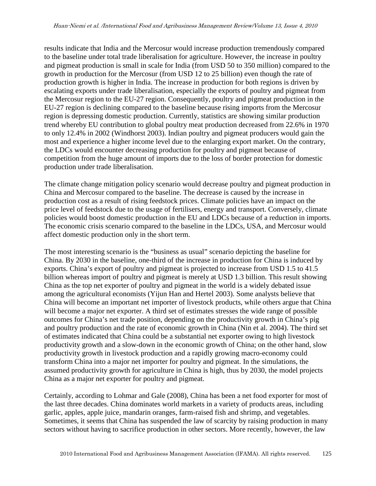results indicate that India and the Mercosur would increase production tremendously compared to the baseline under total trade liberalisation for agriculture. However, the increase in poultry and pigmeat production is small in scale for India (from USD 50 to 350 million) compared to the growth in production for the Mercosur (from USD 12 to 25 billion) even though the rate of production growth is higher in India. The increase in production for both regions is driven by escalating exports under trade liberalisation, especially the exports of poultry and pigmeat from the Mercosur region to the EU-27 region. Consequently, poultry and pigmeat production in the EU-27 region is declining compared to the baseline because rising imports from the Mercosur region is depressing domestic production. Currently, statistics are showing similar production trend whereby EU contribution to global poultry meat production decreased from 22.6% in 1970 to only 12.4% in 2002 (Windhorst 2003). Indian poultry and pigmeat producers would gain the most and experience a higher income level due to the enlarging export market. On the contrary, the LDCs would encounter decreasing production for poultry and pigmeat because of competition from the huge amount of imports due to the loss of border protection for domestic production under trade liberalisation.

The climate change mitigation policy scenario would decrease poultry and pigmeat production in China and Mercosur compared to the baseline. The decrease is caused by the increase in production cost as a result of rising feedstock prices. Climate policies have an impact on the price level of feedstock due to the usage of fertilisers, energy and transport. Conversely, climate policies would boost domestic production in the EU and LDCs because of a reduction in imports. The economic crisis scenario compared to the baseline in the LDCs, USA, and Mercosur would affect domestic production only in the short term.

The most interesting scenario is the "business as usual" scenario depicting the baseline for China. By 2030 in the baseline, one-third of the increase in production for China is induced by exports. China's export of poultry and pigmeat is projected to increase from USD 1.5 to 41.5 billion whereas import of poultry and pigmeat is merely at USD 1.3 billion. This result showing China as the top net exporter of poultry and pigmeat in the world is a widely debated issue among the agricultural economists (Yijun Han and Hertel 2003). Some analysts believe that China will become an important net importer of livestock products, while others argue that China will become a major net exporter. A third set of estimates stresses the wide range of possible outcomes for China's net trade position, depending on the productivity growth in China's pig and poultry production and the rate of economic growth in China (Nin et al. 2004). The third set of estimates indicated that China could be a substantial net exporter owing to high livestock productivity growth and a slow-down in the economic growth of China; on the other hand, slow productivity growth in livestock production and a rapidly growing macro-economy could transform China into a major net importer for poultry and pigmeat. In the simulations, the assumed productivity growth for agriculture in China is high, thus by 2030, the model projects China as a major net exporter for poultry and pigmeat.

Certainly, according to Lohmar and Gale (2008), China has been a net food exporter for most of the last three decades. China dominates world markets in a variety of products areas, including garlic, apples, apple juice, mandarin oranges, farm-raised fish and shrimp, and vegetables. Sometimes, it seems that China has suspended the law of scarcity by raising production in many sectors without having to sacrifice production in other sectors. More recently, however, the law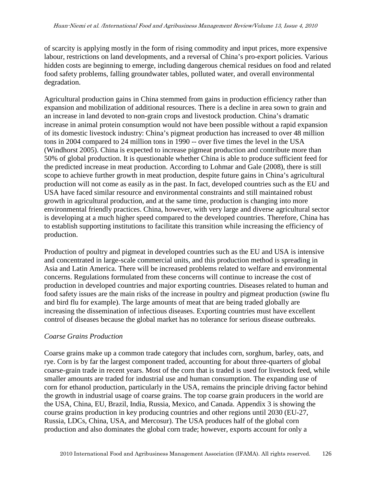of scarcity is applying mostly in the form of rising commodity and input prices, more expensive labour, restrictions on land developments, and a reversal of China's pro-export policies. Various hidden costs are beginning to emerge, including dangerous chemical residues on food and related food safety problems, falling groundwater tables, polluted water, and overall environmental degradation.

Agricultural production gains in China stemmed from gains in production efficiency rather than expansion and mobilization of additional resources. There is a decline in area sown to grain and an increase in land devoted to non-grain crops and livestock production. China's dramatic increase in animal protein consumption would not have been possible without a rapid expansion of its domestic livestock industry: China's pigmeat production has increased to over 48 million tons in 2004 compared to 24 million tons in 1990 -- over five times the level in the USA (Windhorst 2005). China is expected to increase pigmeat production and contribute more than 50% of global production. It is questionable whether China is able to produce sufficient feed for the predicted increase in meat production. According to Lohmar and Gale (2008), there is still scope to achieve further growth in meat production, despite future gains in China's agricultural production will not come as easily as in the past. In fact, developed countries such as the EU and USA have faced similar resource and environmental constraints and still maintained robust growth in agricultural production, and at the same time, production is changing into more environmental friendly practices. China, however, with very large and diverse agricultural sector is developing at a much higher speed compared to the developed countries. Therefore, China has to establish supporting institutions to facilitate this transition while increasing the efficiency of production.

Production of poultry and pigmeat in developed countries such as the EU and USA is intensive and concentrated in large-scale commercial units, and this production method is spreading in Asia and Latin America. There will be increased problems related to welfare and environmental concerns. Regulations formulated from these concerns will continue to increase the cost of production in developed countries and major exporting countries. Diseases related to human and food safety issues are the main risks of the increase in poultry and pigmeat production (swine flu and bird flu for example). The large amounts of meat that are being traded globally are increasing the dissemination of infectious diseases. Exporting countries must have excellent control of diseases because the global market has no tolerance for serious disease outbreaks.

#### *Coarse Grains Production*

Coarse grains make up a common trade category that includes corn, sorghum, barley, oats, and rye. Corn is by far the largest component traded, accounting for about three-quarters of global coarse-grain trade in recent years. Most of the corn that is traded is used for livestock feed, while smaller amounts are traded for industrial use and human consumption. The expanding use of corn for ethanol production, particularly in the USA, remains the principle driving factor behind the growth in industrial usage of coarse grains. The top coarse grain producers in the world are the USA, China, EU, Brazil, India, Russia, Mexico, and Canada. Appendix 3 is showing the course grains production in key producing countries and other regions until 2030 (EU-27, Russia, LDCs, China, USA, and Mercosur). The USA produces half of the global corn production and also dominates the global corn trade; however, exports account for only a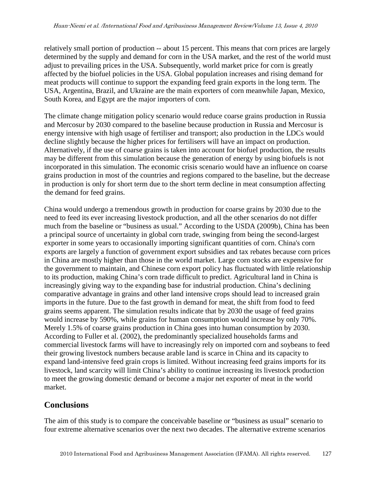relatively small portion of production -- about 15 percent. This means that corn prices are largely determined by the supply and demand for corn in the USA market, and the rest of the world must adjust to prevailing prices in the USA. Subsequently, world market price for corn is greatly affected by the biofuel policies in the USA. Global population increases and rising demand for meat products will continue to support the expanding feed grain exports in the long term. The USA, Argentina, Brazil, and Ukraine are the main exporters of corn meanwhile Japan, Mexico, South Korea, and Egypt are the major importers of corn.

The climate change mitigation policy scenario would reduce coarse grains production in Russia and Mercosur by 2030 compared to the baseline because production in Russia and Mercosur is energy intensive with high usage of fertiliser and transport; also production in the LDCs would decline slightly because the higher prices for fertilisers will have an impact on production. Alternatively, if the use of coarse grains is taken into account for biofuel production, the results may be different from this simulation because the generation of energy by using biofuels is not incorporated in this simulation. The economic crisis scenario would have an influence on coarse grains production in most of the countries and regions compared to the baseline, but the decrease in production is only for short term due to the short term decline in meat consumption affecting the demand for feed grains.

China would undergo a tremendous growth in production for coarse grains by 2030 due to the need to feed its ever increasing livestock production, and all the other scenarios do not differ much from the baseline or "business as usual." According to the USDA (2009b), China has been a principal source of uncertainty in global corn trade, swinging from being the second-largest exporter in some years to occasionally importing significant quantities of corn. China's corn exports are largely a function of government export subsidies and tax rebates because corn prices in China are mostly higher than those in the world market. Large corn stocks are expensive for the government to maintain, and Chinese corn export policy has fluctuated with little relationship to its production, making China's corn trade difficult to predict. Agricultural land in China is increasingly giving way to the expanding base for industrial production. China's declining comparative advantage in grains and other land intensive crops should lead to increased grain imports in the future. Due to the fast growth in demand for meat, the shift from food to feed grains seems apparent. The simulation results indicate that by 2030 the usage of feed grains would increase by 590%, while grains for human consumption would increase by only 70%. Merely 1.5% of coarse grains production in China goes into human consumption by 2030. According to Fuller et al. (2002), the predominantly specialized households farms and commercial livestock farms will have to increasingly rely on imported corn and soybeans to feed their growing livestock numbers because arable land is scarce in China and its capacity to expand land-intensive feed grain crops is limited. Without increasing feed grains imports for its livestock, land scarcity will limit China's ability to continue increasing its livestock production to meet the growing domestic demand or become a major net exporter of meat in the world market.

#### **Conclusions**

The aim of this study is to compare the conceivable baseline or "business as usual" scenario to four extreme alternative scenarios over the next two decades. The alternative extreme scenarios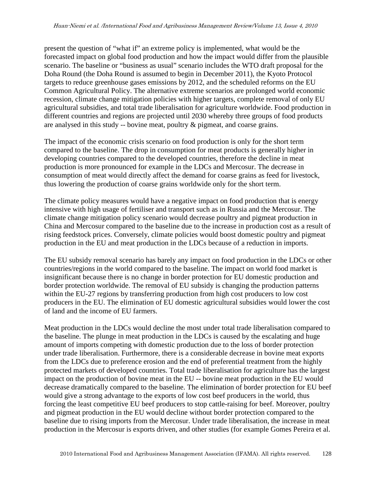present the question of "what if" an extreme policy is implemented, what would be the forecasted impact on global food production and how the impact would differ from the plausible scenario. The baseline or "business as usual" scenario includes the WTO draft proposal for the Doha Round (the Doha Round is assumed to begin in December 2011), the Kyoto Protocol targets to reduce greenhouse gases emissions by 2012, and the scheduled reforms on the EU Common Agricultural Policy. The alternative extreme scenarios are prolonged world economic recession, climate change mitigation policies with higher targets, complete removal of only EU agricultural subsidies, and total trade liberalisation for agriculture worldwide. Food production in different countries and regions are projected until 2030 whereby three groups of food products are analysed in this study -- bovine meat, poultry & pigmeat, and coarse grains.

The impact of the economic crisis scenario on food production is only for the short term compared to the baseline. The drop in consumption for meat products is generally higher in developing countries compared to the developed countries, therefore the decline in meat production is more pronounced for example in the LDCs and Mercosur. The decrease in consumption of meat would directly affect the demand for coarse grains as feed for livestock, thus lowering the production of coarse grains worldwide only for the short term.

The climate policy measures would have a negative impact on food production that is energy intensive with high usage of fertiliser and transport such as in Russia and the Mercosur. The climate change mitigation policy scenario would decrease poultry and pigmeat production in China and Mercosur compared to the baseline due to the increase in production cost as a result of rising feedstock prices. Conversely, climate policies would boost domestic poultry and pigmeat production in the EU and meat production in the LDCs because of a reduction in imports.

The EU subsidy removal scenario has barely any impact on food production in the LDCs or other countries/regions in the world compared to the baseline. The impact on world food market is insignificant because there is no change in border protection for EU domestic production and border protection worldwide. The removal of EU subsidy is changing the production patterns within the EU-27 regions by transferring production from high cost producers to low cost producers in the EU. The elimination of EU domestic agricultural subsidies would lower the cost of land and the income of EU farmers.

Meat production in the LDCs would decline the most under total trade liberalisation compared to the baseline. The plunge in meat production in the LDCs is caused by the escalating and huge amount of imports competing with domestic production due to the loss of border protection under trade liberalisation. Furthermore, there is a considerable decrease in bovine meat exports from the LDCs due to preference erosion and the end of preferential treatment from the highly protected markets of developed countries. Total trade liberalisation for agriculture has the largest impact on the production of bovine meat in the EU -- bovine meat production in the EU would decrease dramatically compared to the baseline. The elimination of border protection for EU beef would give a strong advantage to the exports of low cost beef producers in the world, thus forcing the least competitive EU beef producers to stop cattle-raising for beef. Moreover, poultry and pigmeat production in the EU would decline without border protection compared to the baseline due to rising imports from the Mercosur. Under trade liberalisation, the increase in meat production in the Mercosur is exports driven, and other studies (for example Gomes Pereira et al.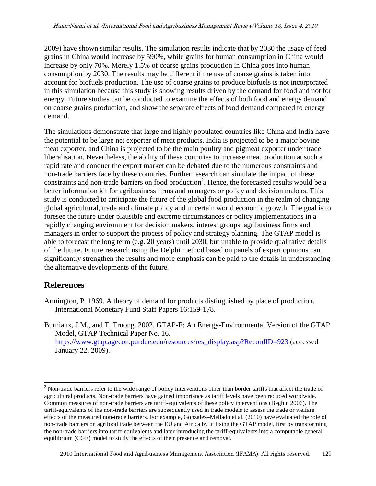2009) have shown similar results. The simulation results indicate that by 2030 the usage of feed grains in China would increase by 590%, while grains for human consumption in China would increase by only 70%. Merely 1.5% of coarse grains production in China goes into human consumption by 2030. The results may be different if the use of coarse grains is taken into account for biofuels production. The use of coarse grains to produce biofuels is not incorporated in this simulation because this study is showing results driven by the demand for food and not for energy. Future studies can be conducted to examine the effects of both food and energy demand on coarse grains production, and show the separate effects of food demand compared to energy demand.

The simulations demonstrate that large and highly populated countries like China and India have the potential to be large net exporter of meat products. India is projected to be a major bovine meat exporter, and China is projected to be the main poultry and pigmeat exporter under trade liberalisation. Nevertheless, the ability of these countries to increase meat production at such a rapid rate and conquer the export market can be debated due to the numerous constraints and non-trade barriers face by these countries. Further research can simulate the impact of these constraints and non-trade barriers on food production<sup>2</sup>. Hence, the forecasted results would be a better information kit for agribusiness firms and managers or policy and decision makers. This study is conducted to anticipate the future of the global food production in the realm of changing global agricultural, trade and climate policy and uncertain world economic growth. The goal is to foresee the future under plausible and extreme circumstances or policy implementations in a rapidly changing environment for decision makers, interest groups, agribusiness firms and managers in order to support the process of policy and strategy planning. The GTAP model is able to forecast the long term (e.g. 20 years) until 2030, but unable to provide qualitative details of the future. Future research using the Delphi method based on panels of expert opinions can significantly strengthen the results and more emphasis can be paid to the details in understanding the alternative developments of the future.

## **References**

- Armington, P. 1969. A theory of demand for products distinguished by place of production. International Monetary Fund Staff Papers 16:159-178.
- Burniaux, J.M., and T. Truong. 2002. GTAP-E: An Energy-Environmental Version of the GTAP Model, GTAP Technical Paper No. 16. https://www.gtap.agecon.purdue.edu/resources/res\_display.asp?RecordID=923 (accessed January 22, 2009).

<sup>&</sup>lt;sup>2</sup> Non-trade barriers refer to the wide range of policy interventions other than border tariffs that affect the trade of agricultural products. Non-trade barriers have gained importance as tariff levels have been reduced worldwide. Common measures of non-trade barriers are tariff-equivalents of these policy interventions (Beghin 2006). The tariff-equivalents of the non-trade barriers are subsequently used in trade models to assess the trade or welfare effects of the measured non-trade barriers. For example, Gonzalez–Mellado et al. (2010) have evaluated the role of non-trade barriers on agrifood trade between the EU and Africa by utilising the GTAP model, first by transforming the non-trade barriers into tariff-equivalents and later introducing the tariff-equivalents into a computable general equilibrium (CGE) model to study the effects of their presence and removal.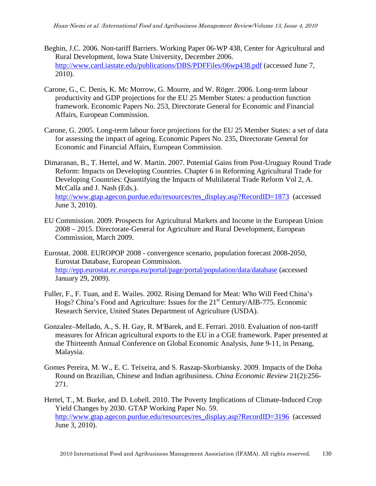- Beghin, J.C. 2006. Non-tariff Barriers. Working Paper 06-WP 438, Center for Agricultural and Rural Development, Iowa State University, December 2006. http://www.card.iastate.edu/publications/DBS/PDFFiles/06wp438.pdf (accessed June 7, 2010).
- Carone, G., C. Denis, K. Mc Morrow, G. Mourre, and W. Röger. 2006. Long-term labour productivity and GDP projections for the EU 25 Member States: a production function framework. Economic Papers No. 253, Directorate General for Economic and Financial Affairs, European Commission.
- Carone, G. 2005. Long-term labour force projections for the EU 25 Member States: a set of data for assessing the impact of ageing. Economic Papers No. 235, Directorate General for Economic and Financial Affairs, European Commission.
- Dimaranan, B., T. Hertel, and W. Martin. 2007. Potential Gains from Post-Uruguay Round Trade Reform: Impacts on Developing Countries. Chapter 6 in Reforming Agricultural Trade for Developing Countries: Quantifying the Impacts of Multilateral Trade Reform Vol 2, A. McCalla and J. Nash (Eds.). http://www.gtap.agecon.purdue.edu/resources/res\_display.asp?RecordID=1873 (accessed June 3, 2010).
- EU Commission. 2009. Prospects for Agricultural Markets and Income in the European Union 2008 – 2015. Directorate-General for Agriculture and Rural Development, European Commission, March 2009.

Eurostat. 2008. EUROPOP 2008 - convergence scenario, population forecast 2008-2050, Eurostat Database, European Commission. http://epp.eurostat.ec.europa.eu/portal/page/portal/population/data/database (accessed January 29, 2009).

- Fuller, F., F. Tuan, and E. Wailes. 2002. Rising Demand for Meat: Who Will Feed China's Hogs? China's Food and Agriculture: Issues for the 21<sup>st</sup> Century/AIB-775. Economic Research Service, United States Department of Agriculture (USDA).
- Gonzalez–Mellado, A., S. H. Gay, R. M'Barek, and E. Ferrari. 2010. Evaluation of non-tariff measures for African agricultural exports to the EU in a CGE framework. Paper presented at the Thirteenth Annual Conference on Global Economic Analysis, June 9-11, in Penang, Malaysia.
- Gomes Pereira, M. W., E. C. Teixeira, and S. Raszap-Skorbiansky. 2009. Impacts of the Doha Round on Brazilian, Chinese and Indian agribusiness. *China Economic Review* 21(2):256- 271.
- Hertel, T., M. Burke, and D. Lobell. 2010. The Poverty Implications of Climate-Induced Crop Yield Changes by 2030. GTAP Working Paper No. 59. http://www.gtap.agecon.purdue.edu/resources/res\_display.asp?RecordID=3196 (accessed June 3, 2010).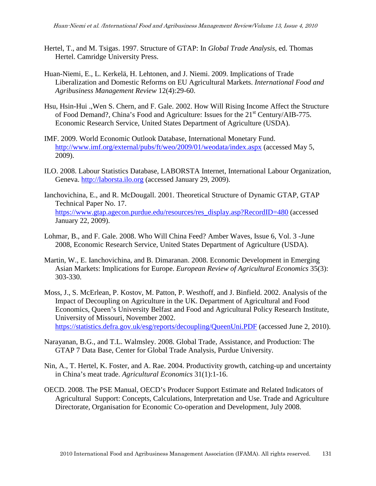- Hertel, T., and M. Tsigas. 1997. Structure of GTAP: In *Global Trade Analysis*, ed. Thomas Hertel. Camridge University Press.
- Huan-Niemi, E., L. Kerkelä, H. Lehtonen, and J. Niemi. 2009. Implications of Trade Liberalization and Domestic Reforms on EU Agricultural Markets. *International Food and Agribusiness Management Review* 12(4):29-60.
- Hsu, Hsin-Hui .,Wen S. Chern, and F. Gale. 2002. How Will Rising Income Affect the Structure of Food Demand?, China's Food and Agriculture: Issues for the 21<sup>st</sup> Century/AIB-775. Economic Research Service, United States Department of Agriculture (USDA).
- IMF. 2009. World Economic Outlook Database, International Monetary Fund. http://www.imf.org/external/pubs/ft/weo/2009/01/weodata/index.aspx (accessed May 5, 2009).
- ILO. 2008. Labour Statistics Database, LABORSTA Internet, International Labour Organization, Geneva. http://laborsta.ilo.org (accessed January 29, 2009).
- Ianchovichina, E., and R. McDougall. 2001. Theoretical Structure of Dynamic GTAP, GTAP Technical Paper No. 17. https://www.gtap.agecon.purdue.edu/resources/res\_display.asp?RecordID=480 (accessed January 22, 2009).
- Lohmar, B., and F. Gale. 2008. Who Will China Feed? Amber Waves, Issue 6, Vol. 3 -June 2008, Economic Research Service, United States Department of Agriculture (USDA).
- Martin, W., E. Ianchovichina, and B. Dimaranan. 2008. Economic Development in Emerging Asian Markets: Implications for Europe. *European Review of Agricultural Economics* 35(3): 303-330.
- Moss, J., S. McErlean, P. Kostov, M. Patton, P. Westhoff, and J. Binfield. 2002. Analysis of the Impact of Decoupling on Agriculture in the UK. Department of Agricultural and Food Economics, Queen's University Belfast and Food and Agricultural Policy Research Institute, University of Missouri, November 2002. https://statistics.defra.gov.uk/esg/reports/decoupling/QueenUni.PDF (accessed June 2, 2010).
- Narayanan, B.G., and T.L. Walmsley. 2008. Global Trade, Assistance, and Production: The GTAP 7 Data Base, Center for Global Trade Analysis, Purdue University.
- Nin, A., T. Hertel, K. Foster, and A. Rae. 2004. Productivity growth, catching-up and uncertainty in China's meat trade. *Agricultural Economics* 31(1):1-16.
- OECD. 2008. The PSE Manual, OECD's Producer Support Estimate and Related Indicators of Agricultural Support: Concepts, Calculations, Interpretation and Use. Trade and Agriculture Directorate, Organisation for Economic Co-operation and Development, July 2008.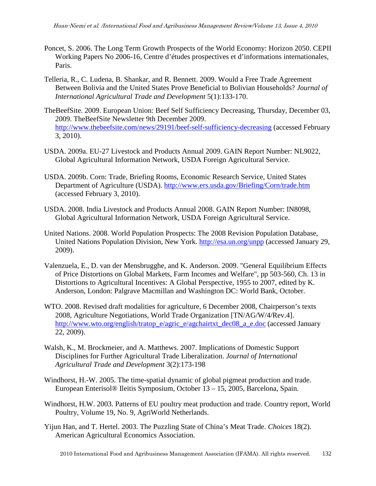- Poncet, S. 2006. The Long Term Growth Prospects of the World Economy: Horizon 2050. CEPII Working Papers No 2006-16, Centre d'études prospectives et d'informations internationales, Paris.
- Telleria, R., C. Ludena, B. Shankar, and R. Bennett. 2009. Would a Free Trade Agreement Between Bolivia and the United States Prove Beneficial to Bolivian Households? *Journal of International Agricultural Trade and Development* 5(1):133-170.
- TheBeefSite. 2009. European Union: Beef Self Sufficiency Decreasing, Thursday, December 03, 2009. TheBeefSite Newsletter 9th December 2009. http://www.thebeefsite.com/news/29191/beef-self-sufficiency-decreasing (accessed February 3, 2010).
- USDA. 2009a. EU-27 Livestock and Products Annual 2009. GAIN Report Number: NL9022, Global Agricultural Information Network, USDA Foreign Agricultural Service.
- USDA. 2009b. Corn: Trade, Briefing Rooms, Economic Research Service, United States Department of Agriculture (USDA). http://www.ers.usda.gov/Briefing/Corn/trade.htm (accessed February 3, 2010).
- USDA. 2008. India Livestock and Products Annual 2008. GAIN Report Number: IN8098, Global Agricultural Information Network, USDA Foreign Agricultural Service.
- United Nations. 2008. World Population Prospects: The 2008 Revision Population Database, United Nations Population Division, New York. http://esa.un.org/unpp (accessed January 29, 2009).
- Valenzuela, E., D. van der Mensbrugghe, and K. Anderson. 2009. "General Equilibrium Effects of Price Distortions on Global Markets, Farm Incomes and Welfare", pp 503-560, Ch. 13 in Distortions to Agricultural Incentives: A Global Perspective, 1955 to 2007, edited by K. Anderson, London: Palgrave Macmillan and Washington DC: World Bank, October.
- WTO. 2008. Revised draft modalities for agriculture, 6 December 2008, Chairperson's texts 2008, Agriculture Negotiations, World Trade Organization [TN/AG/W/4/Rev.4]. http://www.wto.org/english/tratop\_e/agric\_e/agchairtxt\_dec08\_a\_e.doc (accessed January 22, 2009).
- Walsh, K., M. Brockmeier, and A. Matthews. 2007. Implications of Domestic Support Disciplines for Further Agricultural Trade Liberalization. *Journal of International Agricultural Trade and Development* 3(2):173-198
- Windhorst, H.-W. 2005. The time-spatial dynamic of global pigmeat production and trade. European Enterisol® Ileitis Symposium, October 13 – 15, 2005, Barcelona, Spain.
- Windhorst, H.W. 2003. Patterns of EU poultry meat production and trade. Country report, World Poultry, Volume 19, No. 9, AgriWorld Netherlands.
- Yijun Han, and T. Hertel. 2003. The Puzzling State of China's Meat Trade. *Choices* 18(2). American Agricultural Economics Association.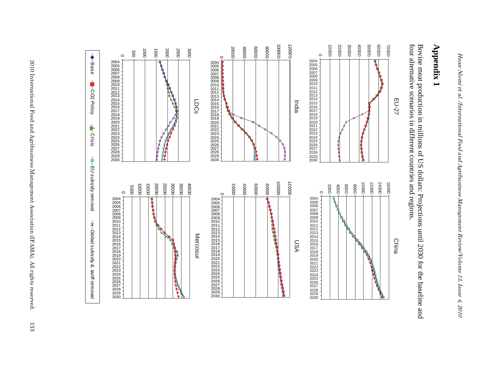# **Appendix 1**

four alternative scenarios in different countries and regions. Bovine meat production in millions of US dollars: Projections until 2030 for the baseline and four alternative scenarios in different countries and regions. Bovine meat production in millions of US dollars: Projections until 2030 for the baseline and

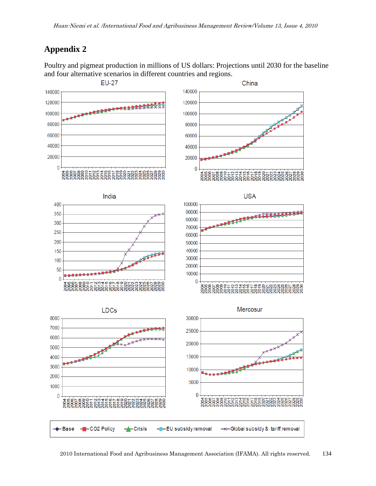# **Appendix 2**

Poultry and pigmeat production in millions of US dollars: Projections until 2030 for the baseline and four alternative scenarios in different countries and regions.